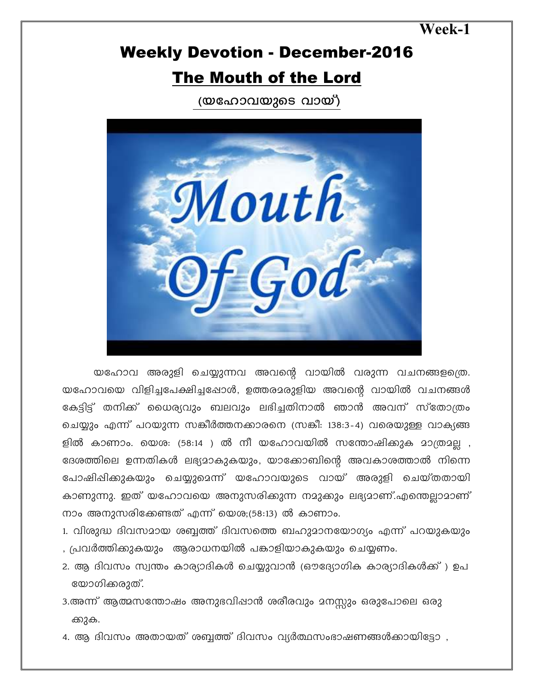**Week-1** 

## Weekly Devotion - December-2016 The Mouth of the Lord

(യഹോവയുടെ വായ്)



യഹോവ അരുളി ചെയ്യുന്നവ അവന്റെ വായിൽ വരുന്ന വചനങ്ങളത്രെ. യഹോവയെ വിളിച്ചപേക്ഷിച്ചപ്പോൾ, ഉത്തരമരുളിയ അവന്റെ വായിൽ വചനങ്ങൾ കേട്ടിട്ട് തനിക്ക് യൈര്യവും ബലവും ലഭിച്ചതിനാൽ ഞാൻ അവന് സ്തോത്രം ചെയ്യും എന്ന് പറയുന്ന സങ്കീർത്തനക്കാരനെ (സങ്കീ: 138:3-4) വരെയുള്ള വാക്യങ്ങ ളിൽ കാണാം. യെശ: (58:14 ) ൽ നീ യഹോവയിൽ സന്തോഷിക്കുക മാത്രമല്ല , ദേശത്തിലെ ഉന്നതികൾ ലഭ്യമാകുകയും, യാക്കോബിന്റെ അവകാശത്താൽ നിന്നെ പോഷിഷിക്കുകയും ചെയ്യുമെന്ന് യഹോവയുടെ വായ് അരുളി ചെയ്തതായി കാണുന്നു. ഇത് യഹോവയെ അനുസരിക്കുന്ന നമുക്കും ലഭ്യമാണ്.എന്തെല്ലാമാണ്  $\pi$ ാം അനുസരിക്കേണ്ടത് എന്ന് യെശ;(58:13) ൽ കാണാം.

- 1. വിശുദ്ധ ദിവസമായ ശബ്ബത്ത് ദിവസത്തെ ബഹുമാനയോഗ്യം എന്ന് പറയുകയും , പ്രവർത്തിക്കുകയും ആരാധനയിൽ പങ്കാളിയാകുകയും ചെയ്യണം.
- 2. ആ ദിവസം സ്വന്തം കാര്യാദികൾ ചെയ്യുവാൻ (ഔദ്യോഗിക കാര്യാദികൾക്ക് ) ഉപ യോഗിക്കരുത്.
- 3.അന്ന് ആത്മസന്തോഷം അനുഭവിഷാൻ ശരീരവും മനസ്സും ഒരുപോലെ ഒരു ക്കുക.
- 4. ആ ദിവസം അതായത് ശബ്ബത്ത് ദിവസം വ്യർത്ഥസംഭാഷണങ്ങൾക്കായിട്ടോ ,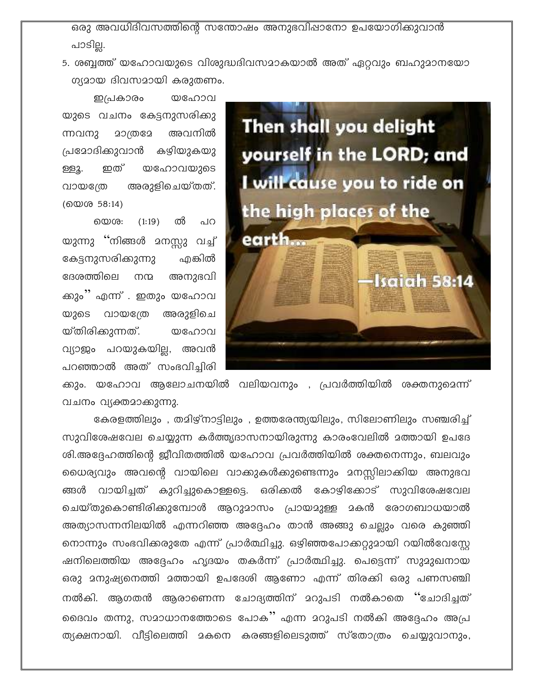ഒരു അവധിദിവസത്തിന്റെ സന്തോഷം അനുഭവിഷാനോ ഉപയോഗിക്കുവാൻ പാടില്ല.

5. ശബ്ബത്ത് യഹോവയുടെ വിശുദ്ധദിവസമാകയാൽ അത് ഏറ്റവും ബഹുമാനയോ ഗ്യമായ ദിവസമായി കരുതണം.

ഇപ്രകാരം യഹോവ യുടെ വചനം കേട്ടനുസരിക്കു ന്നവനു 20@@2 അവനിൽ പ്രദോദിക്കുവാൻ കഴിയുകയു യഹോവയുടെ ഇത് ള്ളു. അരുളിചെയ്തത്. വായത്രേ (യെശ 58:14)

ൽ യെശ: (1:19) പറ യുന്നു ''നിങ്ങൾ മനസ്സു വച്ച് കേട്ടനുസരിക്കുന്നു ഫകിൽ ദേശത്തിലെ നന്മ അനുഭവി ക്കും'' എന്ന് . ഇതും യഹോവ യുടെ വായത്രേ അരുളിചെ യ്തിരിക്കുന്നത്. യഹോവ വ്യാജം പറയുകയില്ല, അവൻ പറഞ്ഞാൽ അത് സംഭവിച്ചിരി



ക്കും. യഹോവ ആലോചനയിൽ വലിയവനും , പ്രവർത്തിയിൽ ശക്തനുമെന്ന് വചനം വ്യക്തമാക്കുന്നു.

കേരളത്തിലും , തമിഴ്നാട്ടിലും , ഉത്തരേന്ത്യയിലും, സിലോണിലും സഞ്ചരിച്ച് സുവിശേഷവേല ചെയ്യുന്ന കർത്ത്യദാസനായിരുന്നു കാരംവേലിൽ മത്തായി ഉപദേ ശി.അദ്ദേഹത്തിന്റെ ജീവിതത്തിൽ യഹോവ പ്രവർത്തിയിൽ ശക്തനെന്നും, ബലവും ധൈര്യവും അവന്റെ വായിലെ വാക്കുകൾക്കുണ്ടെന്നും മനസ്സിലാക്കിയ അനുഭവ ങ്ങൾ വായിച്ചത് കുറിച്ചുകൊള്ളട്ടെ. ഒരിക്കൽ കോഴിക്കോട് സുവിശേഷവേല ചെയ്തുകൊണ്ടിരിക്കുമ്പോൾ ആറുമാസം പ്രായമുള്ള മകൻ രോഗബാധയാൽ അത്യാസന്നനിലയിൽ എന്നറിഞ്ഞ അദ്ദേഹം താൻ അങ്ങു ചെല്ലും വരെ കുഞ്ഞി നൊന്നും സംഭവിക്കരുതേ എന്ന് പ്രാർത്ഥിച്ചു. ഒഴിഞ്ഞപോക്കറ്റുമായി റയിൽവേസ്റ്റേ ഷനിലെത്തിയ അദ്ദേഹം ഹൃദയം തകർന്ന് പ്രാർത്ഥിച്ചു. പെട്ടെന്ന് സുമുഖനായ ഒരു മനുഷ്യനെത്തി മത്തായി ഉപദേശി ആണോ എന്ന് തിരക്കി ഒരു പണസഞ്ചി നൽകി. ആഗതൻ ആരാണെന്ന ചോദ്യത്തിന് മറുപടി നൽകാതെ ''ചോദിച്ചത് ദൈവം തന്നു, സമാധാനത്തോടെ പോക്' എന്ന മറുപടി നൽകി അദ്ദേഹം അപ്ര ത്യക്ഷനായി. വീട്ടിലെത്തി മകനെ കരങ്ങളിലെടുത്ത് സ്തോത്രം ചെയ്യുവാനും,